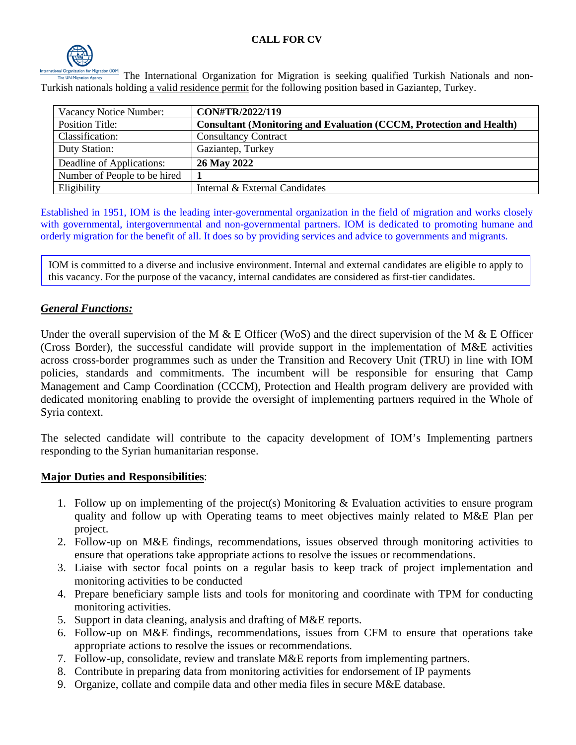

The International Organization for Migration is seeking qualified Turkish Nationals and non-Turkish nationals holding a valid residence permit for the following position based in Gaziantep, Turkey.

| Vacancy Notice Number:       | CON#TR/2022/119                                                            |
|------------------------------|----------------------------------------------------------------------------|
| <b>Position Title:</b>       | <b>Consultant (Monitoring and Evaluation (CCCM, Protection and Health)</b> |
| Classification:              | <b>Consultancy Contract</b>                                                |
| Duty Station:                | Gaziantep, Turkey                                                          |
| Deadline of Applications:    | 26 May 2022                                                                |
| Number of People to be hired |                                                                            |
| Eligibility                  | Internal & External Candidates                                             |

Established in 1951, IOM is the leading inter-governmental organization in the field of migration and works closely with governmental, intergovernmental and non-governmental partners. IOM is dedicated to promoting humane and orderly migration for the benefit of all. It does so by providing services and advice to governments and migrants.

IOM is committed to a diverse and inclusive environment. Internal and external candidates are eligible to apply to this vacancy. For the purpose of the vacancy, internal candidates are considered as first-tier candidates.

### *General Functions:*

Under the overall supervision of the M  $\&$  E Officer (WoS) and the direct supervision of the M  $\&$  E Officer (Cross Border), the successful candidate will provide support in the implementation of M&E activities across cross-border programmes such as under the Transition and Recovery Unit (TRU) in line with IOM policies, standards and commitments. The incumbent will be responsible for ensuring that Camp Management and Camp Coordination (CCCM), Protection and Health program delivery are provided with dedicated monitoring enabling to provide the oversight of implementing partners required in the Whole of Syria context.

The selected candidate will contribute to the capacity development of IOM's Implementing partners responding to the Syrian humanitarian response.

### **Major Duties and Responsibilities**:

- 1. Follow up on implementing of the project(s) Monitoring & Evaluation activities to ensure program quality and follow up with Operating teams to meet objectives mainly related to M&E Plan per project.
- 2. Follow-up on M&E findings, recommendations, issues observed through monitoring activities to ensure that operations take appropriate actions to resolve the issues or recommendations.
- 3. Liaise with sector focal points on a regular basis to keep track of project implementation and monitoring activities to be conducted
- 4. Prepare beneficiary sample lists and tools for monitoring and coordinate with TPM for conducting monitoring activities.
- 5. Support in data cleaning, analysis and drafting of M&E reports.
- 6. Follow-up on M&E findings, recommendations, issues from CFM to ensure that operations take appropriate actions to resolve the issues or recommendations.
- 7. Follow-up, consolidate, review and translate M&E reports from implementing partners.
- 8. Contribute in preparing data from monitoring activities for endorsement of IP payments
- 9. Organize, collate and compile data and other media files in secure M&E database.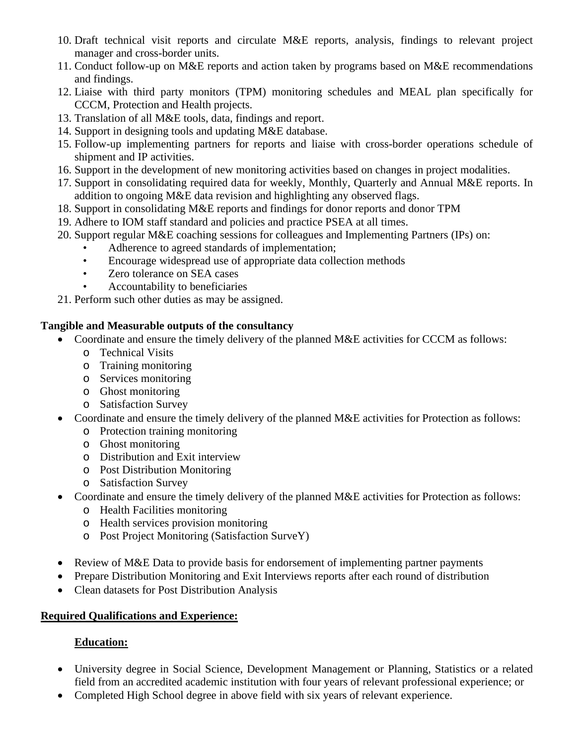- 10. Draft technical visit reports and circulate M&E reports, analysis, findings to relevant project manager and cross-border units.
- 11. Conduct follow-up on M&E reports and action taken by programs based on M&E recommendations and findings.
- 12. Liaise with third party monitors (TPM) monitoring schedules and MEAL plan specifically for CCCM, Protection and Health projects.
- 13. Translation of all M&E tools, data, findings and report.
- 14. Support in designing tools and updating M&E database.
- 15. Follow-up implementing partners for reports and liaise with cross-border operations schedule of shipment and IP activities.
- 16. Support in the development of new monitoring activities based on changes in project modalities.
- 17. Support in consolidating required data for weekly, Monthly, Quarterly and Annual M&E reports. In addition to ongoing M&E data revision and highlighting any observed flags.
- 18. Support in consolidating M&E reports and findings for donor reports and donor TPM
- 19. Adhere to IOM staff standard and policies and practice PSEA at all times.
- 20. Support regular M&E coaching sessions for colleagues and Implementing Partners (IPs) on:
	- Adherence to agreed standards of implementation;
	- Encourage widespread use of appropriate data collection methods
	- Zero tolerance on SEA cases
	- Accountability to beneficiaries

21. Perform such other duties as may be assigned.

### **Tangible and Measurable outputs of the consultancy**

- Coordinate and ensure the timely delivery of the planned M&E activities for CCCM as follows:
	- o Technical Visits
	- o Training monitoring
	- o Services monitoring
	- o Ghost monitoring
	- o Satisfaction Survey
- Coordinate and ensure the timely delivery of the planned M&E activities for Protection as follows:
	- o Protection training monitoring
	- o Ghost monitoring
	- o Distribution and Exit interview
	- o Post Distribution Monitoring
	- o Satisfaction Survey
- Coordinate and ensure the timely delivery of the planned M&E activities for Protection as follows:
	- o Health Facilities monitoring
	- o Health services provision monitoring
	- o Post Project Monitoring (Satisfaction SurveY)
- Review of M&E Data to provide basis for endorsement of implementing partner payments
- Prepare Distribution Monitoring and Exit Interviews reports after each round of distribution
- Clean datasets for Post Distribution Analysis

# **Required Qualifications and Experience:**

# **Education:**

- University degree in Social Science, Development Management or Planning, Statistics or a related field from an accredited academic institution with four years of relevant professional experience; or
- Completed High School degree in above field with six years of relevant experience.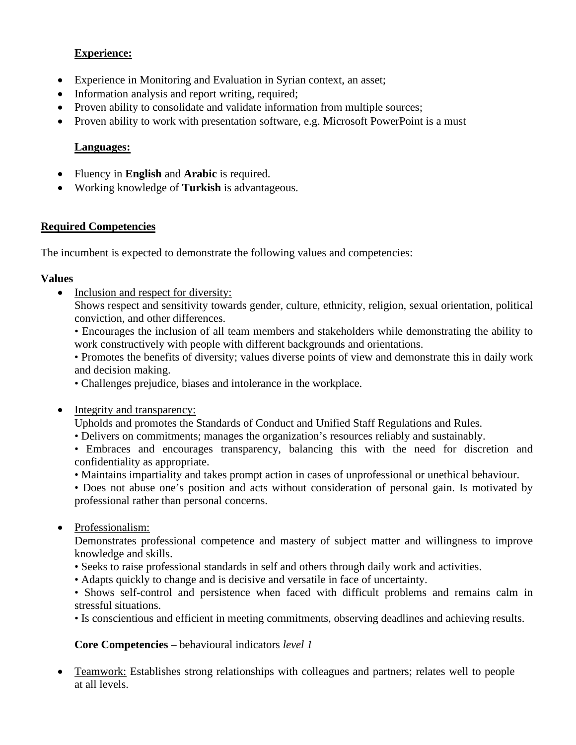### **Experience:**

- Experience in Monitoring and Evaluation in Syrian context, an asset;
- Information analysis and report writing, required;
- Proven ability to consolidate and validate information from multiple sources;
- Proven ability to work with presentation software, e.g. Microsoft PowerPoint is a must

## **Languages:**

- Fluency in **English** and **Arabic** is required.
- Working knowledge of **Turkish** is advantageous.

## **Required Competencies**

The incumbent is expected to demonstrate the following values and competencies:

### **Values**

• Inclusion and respect for diversity:

Shows respect and sensitivity towards gender, culture, ethnicity, religion, sexual orientation, political conviction, and other differences.

• Encourages the inclusion of all team members and stakeholders while demonstrating the ability to work constructively with people with different backgrounds and orientations.

• Promotes the benefits of diversity; values diverse points of view and demonstrate this in daily work and decision making.

- Challenges prejudice, biases and intolerance in the workplace.
- Integrity and transparency:

Upholds and promotes the Standards of Conduct and Unified Staff Regulations and Rules.

- Delivers on commitments; manages the organization's resources reliably and sustainably.
- Embraces and encourages transparency, balancing this with the need for discretion and confidentiality as appropriate.
- Maintains impartiality and takes prompt action in cases of unprofessional or unethical behaviour.

• Does not abuse one's position and acts without consideration of personal gain. Is motivated by professional rather than personal concerns.

• Professionalism:

Demonstrates professional competence and mastery of subject matter and willingness to improve knowledge and skills.

- Seeks to raise professional standards in self and others through daily work and activities.
- Adapts quickly to change and is decisive and versatile in face of uncertainty.

• Shows self-control and persistence when faced with difficult problems and remains calm in stressful situations.

• Is conscientious and efficient in meeting commitments, observing deadlines and achieving results.

**Core Competencies** – behavioural indicators *level 1*

• Teamwork: Establishes strong relationships with colleagues and partners; relates well to people at all levels.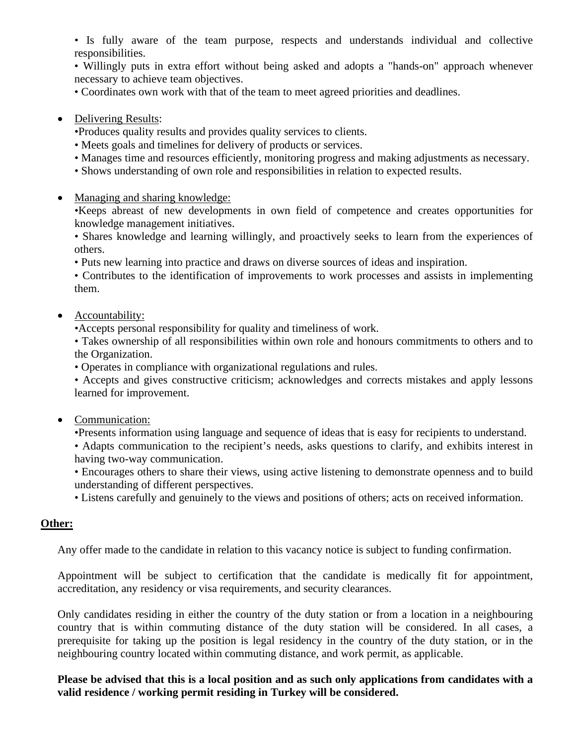• Is fully aware of the team purpose, respects and understands individual and collective responsibilities.

• Willingly puts in extra effort without being asked and adopts a "hands-on" approach whenever necessary to achieve team objectives.

• Coordinates own work with that of the team to meet agreed priorities and deadlines.

#### • Delivering Results:

•Produces quality results and provides quality services to clients.

- Meets goals and timelines for delivery of products or services.
- Manages time and resources efficiently, monitoring progress and making adjustments as necessary.
- Shows understanding of own role and responsibilities in relation to expected results.
- Managing and sharing knowledge:

•Keeps abreast of new developments in own field of competence and creates opportunities for knowledge management initiatives.

• Shares knowledge and learning willingly, and proactively seeks to learn from the experiences of others.

• Puts new learning into practice and draws on diverse sources of ideas and inspiration.

• Contributes to the identification of improvements to work processes and assists in implementing them.

#### • Accountability:

•Accepts personal responsibility for quality and timeliness of work.

• Takes ownership of all responsibilities within own role and honours commitments to others and to the Organization.

• Operates in compliance with organizational regulations and rules.

• Accepts and gives constructive criticism; acknowledges and corrects mistakes and apply lessons learned for improvement.

### • Communication:

•Presents information using language and sequence of ideas that is easy for recipients to understand.

• Adapts communication to the recipient's needs, asks questions to clarify, and exhibits interest in having two-way communication.

• Encourages others to share their views, using active listening to demonstrate openness and to build understanding of different perspectives.

• Listens carefully and genuinely to the views and positions of others; acts on received information.

#### **Other:**

Any offer made to the candidate in relation to this vacancy notice is subject to funding confirmation.

Appointment will be subject to certification that the candidate is medically fit for appointment, accreditation, any residency or visa requirements, and security clearances.

Only candidates residing in either the country of the duty station or from a location in a neighbouring country that is within commuting distance of the duty station will be considered. In all cases, a prerequisite for taking up the position is legal residency in the country of the duty station, or in the neighbouring country located within commuting distance, and work permit, as applicable.

**Please be advised that this is a local position and as such only applications from candidates with a valid residence / working permit residing in Turkey will be considered.**